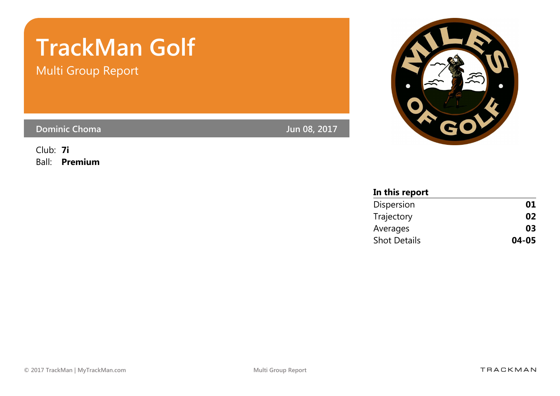# TrackMan Golf

Multi Group Report

Dominic Choma Jun 08, 2017

Club: 7i Ball: Premium



| In this report      |       |
|---------------------|-------|
| Dispersion          | 01    |
| Trajectory          | 02    |
| Averages            | 03    |
| <b>Shot Details</b> | 04-05 |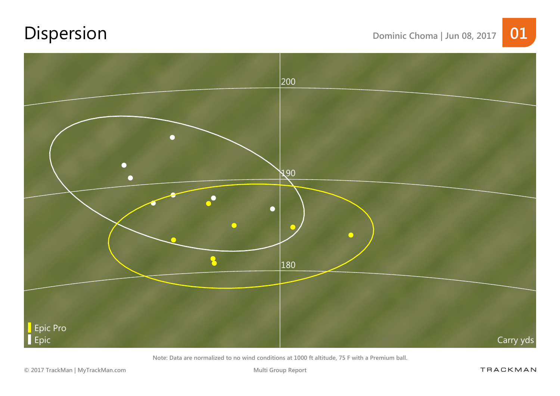# Dispersion Dominic Choma | Jun 08, 2017 01



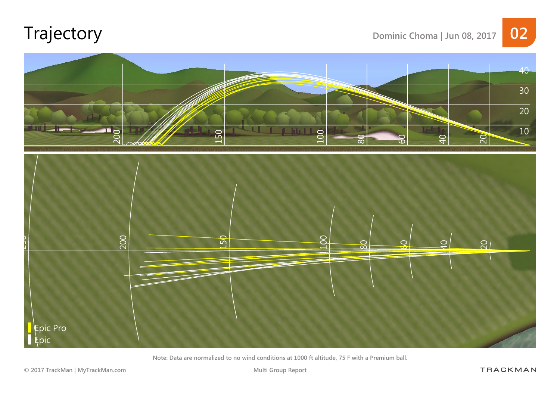# Trajectory Dominic Choma | Jun 08, 2017 02



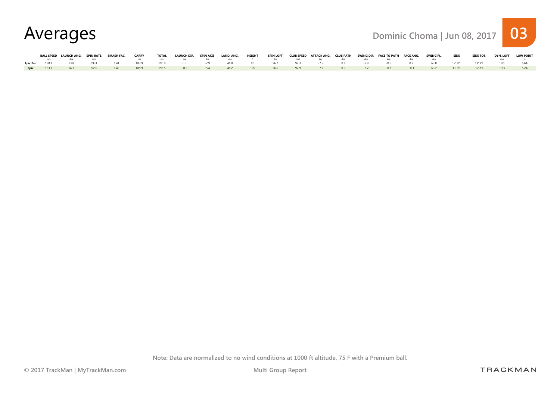| Averages | Dominic Choma   Jun 08, 2017 03 |  |
|----------|---------------------------------|--|
|----------|---------------------------------|--|

|  | BALL SPEED LAUNCH ANG. SPIN RATE |      | SMASH FAC. | <b>CARRY</b> | TOTAL | <b>LAUNCH DIR.</b>                                                                                                       | SPIN AXIS LAND. ANG. HEIGHT SPIN LOFT CLUB SPEED ATTACK ANG. CLUB PATH SWING DIR. FACE TO PATH FACE ANG. SWING PL. SIDE |  |  |  |  |  | SIDE TOT. | DYN. LOFT | <b>LOW POINT</b> |
|--|----------------------------------|------|------------|--------------|-------|--------------------------------------------------------------------------------------------------------------------------|-------------------------------------------------------------------------------------------------------------------------|--|--|--|--|--|-----------|-----------|------------------|
|  |                                  |      |            |              |       | mph deq npm – vds vds deq deq deq the deq ft deq mph deq deq deq deq deq deq deq deq                                     |                                                                                                                         |  |  |  |  |  |           |           |                  |
|  |                                  |      |            |              |       | Epic Pro 130.1 13.8 6931 1.41 183.9 190.9 0.3 -2.9 46.8 96 26.7 92.3 -7.5 0.8 -2.9 -0.6 0.2 63.8 12'9"L 13'9"L 19.1 6.6A |                                                                                                                         |  |  |  |  |  |           |           |                  |
|  |                                  | 6692 |            |              |       | 1.43 1.89.9 1.96.5 -0.2 -5.4 -48.2 1.05 -2.66 -92.9 -7.2 -0.5 -3.2 -0.8 -0.3 -63.2 -33'9"L 35'8"L 1.9.3                  |                                                                                                                         |  |  |  |  |  |           |           |                  |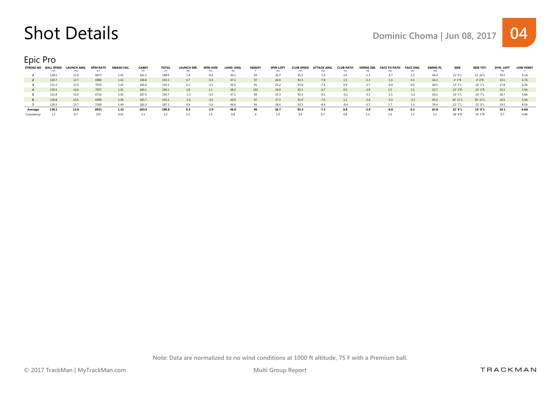### Shot Details Details Dominic Choma | Jun 08, 2017 04

Epic Pro

| <b>STROKE NO</b> | <b>BALL SPEED</b> | LAUNCH ANG. | <b>SPIN RATE</b> | SMASH FAC. | <b>CARRY</b> | <b>TOTAL</b> | <b>LAUNCH DIR</b> | <b>SPIN AXIS</b> | LAND, ANG.      | HEIGHT | <b>SPIN LOFT</b> | <b>CLUB SPEED</b> | <b>ATTACK ANG.</b> | <b>CLUB PATH</b> | SWING DIR. | <b>FACE TO PATH</b> | <b>FACE ANG.</b> | SWING PL. | <b>SIDE</b> | <b>SIDE TOT.</b> | <b>DYN. LOFT</b> | <b>LOW POINT</b> |
|------------------|-------------------|-------------|------------------|------------|--------------|--------------|-------------------|------------------|-----------------|--------|------------------|-------------------|--------------------|------------------|------------|---------------------|------------------|-----------|-------------|------------------|------------------|------------------|
|                  | mph               |             |                  |            |              |              |                   | dea              | dea             |        |                  |                   |                    |                  |            |                     |                  |           |             |                  |                  |                  |
|                  | 128.5             |             | 6873             | 1.41       | 181.5        |              |                   |                  | 46 <sup>°</sup> |        |                  | 91.5              |                    |                  |            |                     |                  | 66.4      | 22' 0"L     | 23' 10"L         | 19.2             |                  |
|                  | 130.7             | 13.7        | 6984             | 1.42       | 184.8        | 191.5        | 0.7               | $-0.4$           | 47.1            | 97     | 26.9             | 92.3              | $-7.8$             | 1.5              | $-2.3$     | $-1.0$              | 0.5              | 64.3      | 4'3''R      | 4' 4"R           | 19.1             | 6.7A             |
|                  | 131.2             | 12.4        | 7019             | 1.41       | 185.0        | 192.3        | 0.2               | $-3.1$           | 45.5            |        | 25.2             | 93.0              | $-7.4$             | 0.9              |            |                     | 0.0              | 64.5      | 15'1"L      | 16'1"L           | 17.8             | 6.3A             |
|                  | 130.4             | 14.6        | 7057             | 1.41       | 184.1        | 190.1        | 1.8               | 1.1              | 48.2            | 102    | 26.9             | 92.5              | $-67$              | 0.6              | $-2.9$     | 1.5                 | 2.1              | 62.7      | 23' 3"R     | 24' 2"R          | 20.1             | 5.9A             |
|                  | 131.8             | 13.6        | 6716             | 1.43       | 187.5        | 194.7        |                   |                  |                 | 99     |                  | 92.4              |                    |                  |            |                     | $-1.6$           | 64.1      | 23' 5"L     | 24' 7"L          | 18.7             | 5.8A             |
|                  | 128.8             | 14.5        | 6498             | 1.40       | 183.7        | 191.3        | $-1.6$            | $-3.6$           | 46.9            |        | 27.3             | 91.9              | $-7.6$             |                  |            | $-3.3$              | $-2.2$           | 65.2      | 34' 11"L    | 36' 11"L         | 19.5             | 6.9A             |
|                  | 129.3             | 13.7        | 7369             | 1.40       | 181.0        | 187.3        | 0.9               | $-5.6$           | 46.6            |        | 28.4             | 92.5              | -89                | $-0.4$           | -57        |                     |                  | 59.4      | 21'7"L      | 23' 0"L          | 19.5             | 8.5A             |
| Average          | 130.1             | 13.8        | 6931             | 1.41       | 183.9        | 190.9        | 0.3               | $-2.9$           | 46.8            |        | 26.7             | 92.3              | $-7.5$             | 0.8              | -2.9       | -0.6                | 0.2              | 63.8      | 12' 9"L     | 13' 9"L          | 19.1             | 6.6A             |
|                  |                   |             |                  | 0.01       |              |              |                   |                  | 0.8             |        |                  | 04                |                    |                  |            |                     |                  |           | 18' 4"R     | 19' 4"R          |                  |                  |